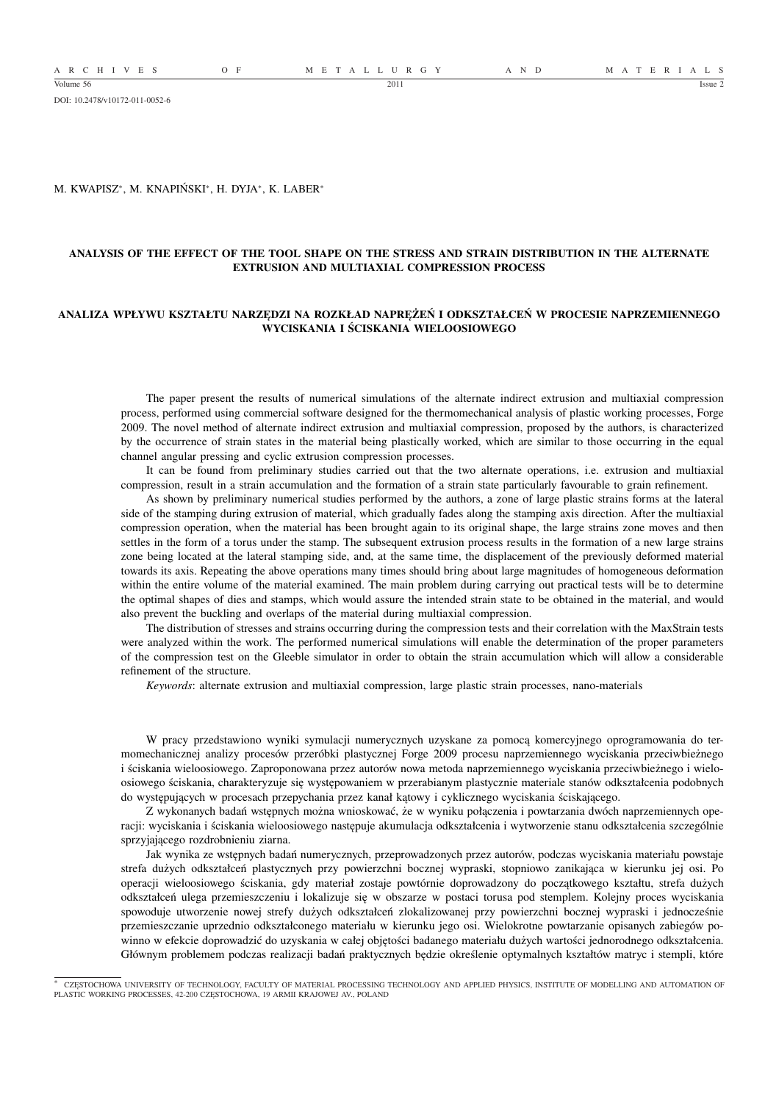A R C H I V E S O F M E T A L L U R G Y A N D M A T E R I A L S

DOI: 10.2478/v10172-011-0052-6

#### M. KWAPISZ<sup>∗</sup> , M. KNAPIŃSKI<sup>∗</sup> , H. DYJA<sup>∗</sup> , K. LABER<sup>∗</sup>

### **ANALYSIS OF THE EFFECT OF THE TOOL SHAPE ON THE STRESS AND STRAIN DISTRIBUTION IN THE ALTERNATE EXTRUSION AND MULTIAXIAL COMPRESSION PROCESS**

#### **ANALIZA WPŁYWU KSZTAŁTU NARZĘDZI NA ROZKŁAD NAPRĘŻEŃ I ODKSZTAŁCEŃ W PROCESIE NAPRZEMIENNEGO WYCISKANIA I ŚCISKANIA WIELOOSIOWEGO**

The paper present the results of numerical simulations of the alternate indirect extrusion and multiaxial compression process, performed using commercial software designed for the thermomechanical analysis of plastic working processes, Forge 2009. The novel method of alternate indirect extrusion and multiaxial compression, proposed by the authors, is characterized by the occurrence of strain states in the material being plastically worked, which are similar to those occurring in the equal channel angular pressing and cyclic extrusion compression processes.

It can be found from preliminary studies carried out that the two alternate operations, i.e. extrusion and multiaxial compression, result in a strain accumulation and the formation of a strain state particularly favourable to grain refinement.

As shown by preliminary numerical studies performed by the authors, a zone of large plastic strains forms at the lateral side of the stamping during extrusion of material, which gradually fades along the stamping axis direction. After the multiaxial compression operation, when the material has been brought again to its original shape, the large strains zone moves and then settles in the form of a torus under the stamp. The subsequent extrusion process results in the formation of a new large strains zone being located at the lateral stamping side, and, at the same time, the displacement of the previously deformed material towards its axis. Repeating the above operations many times should bring about large magnitudes of homogeneous deformation within the entire volume of the material examined. The main problem during carrying out practical tests will be to determine the optimal shapes of dies and stamps, which would assure the intended strain state to be obtained in the material, and would also prevent the buckling and overlaps of the material during multiaxial compression.

The distribution of stresses and strains occurring during the compression tests and their correlation with the MaxStrain tests were analyzed within the work. The performed numerical simulations will enable the determination of the proper parameters of the compression test on the Gleeble simulator in order to obtain the strain accumulation which will allow a considerable refinement of the structure.

*Keywords*: alternate extrusion and multiaxial compression, large plastic strain processes, nano-materials

W pracy przedstawiono wyniki symulacji numerycznych uzyskane za pomocą komercyjnego oprogramowania do termomechanicznej analizy procesów przeróbki plastycznej Forge 2009 procesu naprzemiennego wyciskania przeciwbieżnego i ściskania wieloosiowego. Zaproponowana przez autorów nowa metoda naprzemiennego wyciskania przeciwbieżnego i wieloosiowego ściskania, charakteryzuje się występowaniem w przerabianym plastycznie materiale stanów odkształcenia podobnych do występujących w procesach przepychania przez kanał kątowy i cyklicznego wyciskania ściskającego.

Z wykonanych badań wstępnych można wnioskować, że w wyniku połączenia i powtarzania dwóch naprzemiennych operacji: wyciskania i ściskania wieloosiowego następuje akumulacja odkształcenia i wytworzenie stanu odkształcenia szczególnie sprzyjającego rozdrobnieniu ziarna.

Jak wynika ze wstępnych badań numerycznych, przeprowadzonych przez autorów, podczas wyciskania materiału powstaje strefa dużych odkształceń plastycznych przy powierzchni bocznej wypraski, stopniowo zanikająca w kierunku jej osi. Po operacji wieloosiowego ściskania, gdy materiał zostaje powtórnie doprowadzony do początkowego kształtu, strefa dużych odkształceń ulega przemieszczeniu i lokalizuje się w obszarze w postaci torusa pod stemplem. Kolejny proces wyciskania spowoduje utworzenie nowej strefy dużych odkształceń zlokalizowanej przy powierzchni bocznej wypraski i jednocześnie przemieszczanie uprzednio odkształconego materiału w kierunku jego osi. Wielokrotne powtarzanie opisanych zabiegów powinno w efekcie doprowadzić do uzyskania w całej objętości badanego materiału dużych wartości jednorodnego odkształcenia. Głównym problemem podczas realizacji badań praktycznych będzie określenie optymalnych kształtów matryc i stempli, które

<sup>∗</sup> CZESTOCHOWA UNIVERSITY OF TECHNOLOGY, FACULTY OF MATERIAL PROCESSING TECHNOLOGY AND APPLIED PHYSICS, INSTITUTE OF MODELLING AND AUTOMATION OF PLASTIC WORKING PROCESSES, 42-200 CZĘSTOCHOWA, 19 ARMII KRAJOWEJ AV., POLAND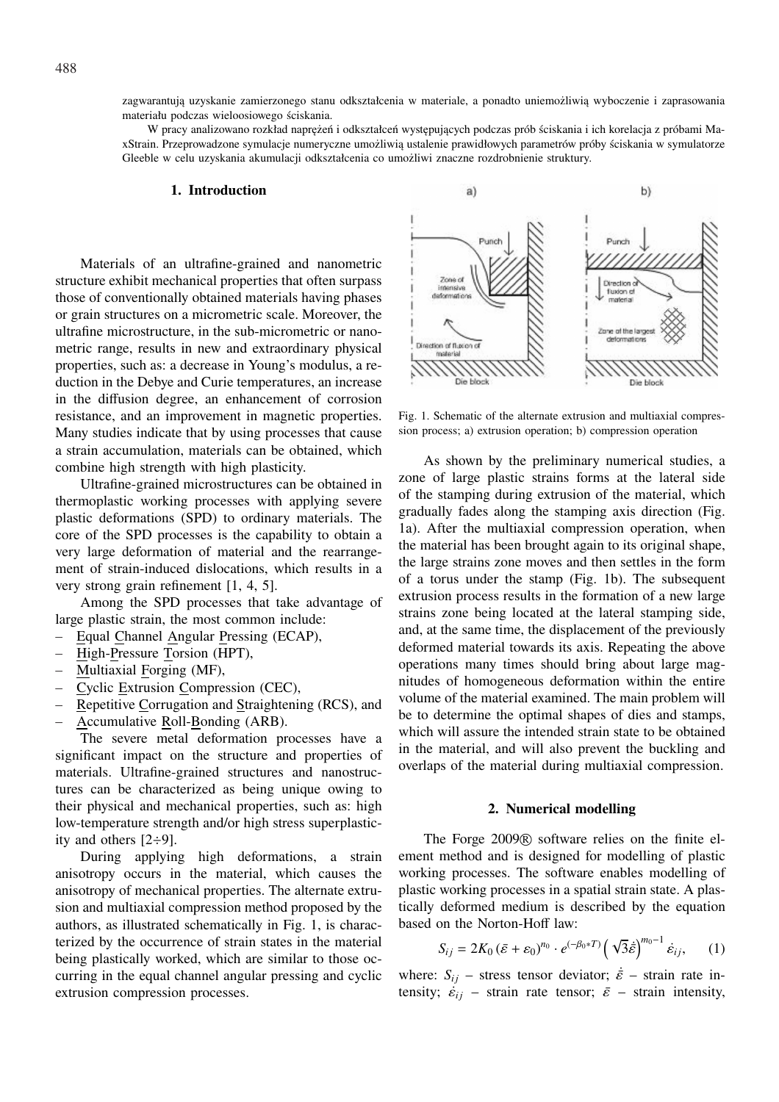zagwarantują uzyskanie zamierzonego stanu odkształcenia w materiale, a ponadto uniemożliwią wyboczenie i zaprasowania materiału podczas wieloosiowego ściskania.

W pracy analizowano rozkład naprężeń i odkształceń występujących podczas prób ściskania i ich korelacja z próbami MaxStrain. Przeprowadzone symulacje numeryczne umożliwią ustalenie prawidłowych parametrów próby ściskania w symulatorze Gleeble w celu uzyskania akumulacji odkształcenia co umożliwi znaczne rozdrobnienie struktury.

#### **1. Introduction**

Materials of an ultrafine-grained and nanometric structure exhibit mechanical properties that often surpass those of conventionally obtained materials having phases or grain structures on a micrometric scale. Moreover, the ultrafine microstructure, in the sub-micrometric or nanometric range, results in new and extraordinary physical properties, such as: a decrease in Young's modulus, a reduction in the Debye and Curie temperatures, an increase in the diffusion degree, an enhancement of corrosion resistance, and an improvement in magnetic properties. Many studies indicate that by using processes that cause a strain accumulation, materials can be obtained, which combine high strength with high plasticity.

Ultrafine-grained microstructures can be obtained in thermoplastic working processes with applying severe plastic deformations (SPD) to ordinary materials. The core of the SPD processes is the capability to obtain a very large deformation of material and the rearrangement of strain-induced dislocations, which results in a very strong grain refinement [1, 4, 5].

Among the SPD processes that take advantage of large plastic strain, the most common include:

– Equal Channel Angular Pressing (ECAP),

- High-Pressure Torsion (HPT),
- Multiaxial Forging (MF),
- Cyclic Extrusion Compression (CEC),
- Repetitive Corrugation and Straightening (RCS), and – Accumulative Roll-Bonding (ARB).

The severe metal deformation processes have a significant impact on the structure and properties of materials. Ultrafine-grained structures and nanostructures can be characterized as being unique owing to their physical and mechanical properties, such as: high low-temperature strength and/or high stress superplasticity and others [2÷9].

During applying high deformations, a strain anisotropy occurs in the material, which causes the anisotropy of mechanical properties. The alternate extrusion and multiaxial compression method proposed by the authors, as illustrated schematically in Fig. 1, is characterized by the occurrence of strain states in the material being plastically worked, which are similar to those occurring in the equal channel angular pressing and cyclic extrusion compression processes.



Fig. 1. Schematic of the alternate extrusion and multiaxial compression process; a) extrusion operation; b) compression operation

As shown by the preliminary numerical studies, a zone of large plastic strains forms at the lateral side of the stamping during extrusion of the material, which gradually fades along the stamping axis direction (Fig. 1a). After the multiaxial compression operation, when the material has been brought again to its original shape, the large strains zone moves and then settles in the form of a torus under the stamp (Fig. 1b). The subsequent extrusion process results in the formation of a new large strains zone being located at the lateral stamping side, and, at the same time, the displacement of the previously deformed material towards its axis. Repeating the above operations many times should bring about large magnitudes of homogeneous deformation within the entire volume of the material examined. The main problem will be to determine the optimal shapes of dies and stamps, which will assure the intended strain state to be obtained in the material, and will also prevent the buckling and overlaps of the material during multiaxial compression.

### **2. Numerical modelling**

The Forge 2009 <sup>R</sup> software relies on the finite element method and is designed for modelling of plastic working processes. The software enables modelling of plastic working processes in a spatial strain state. A plastically deformed medium is described by the equation based on the Norton-Hoff law:

$$
S_{ij} = 2K_0 \left(\bar{\varepsilon} + \varepsilon_0\right)^{n_0} \cdot e^{\left(-\beta_0 * T\right)} \left(\sqrt{3}\dot{\varepsilon}\right)^{m_0 - 1} \dot{\varepsilon}_{ij},\qquad(1)
$$

where:  $S_{ij}$  – stress tensor deviator;  $\dot{\vec{\varepsilon}}$  – strain rate intensity;  $\dot{\varepsilon}_{ij}$  – strain rate tensor;  $\bar{\varepsilon}$  – strain intensity,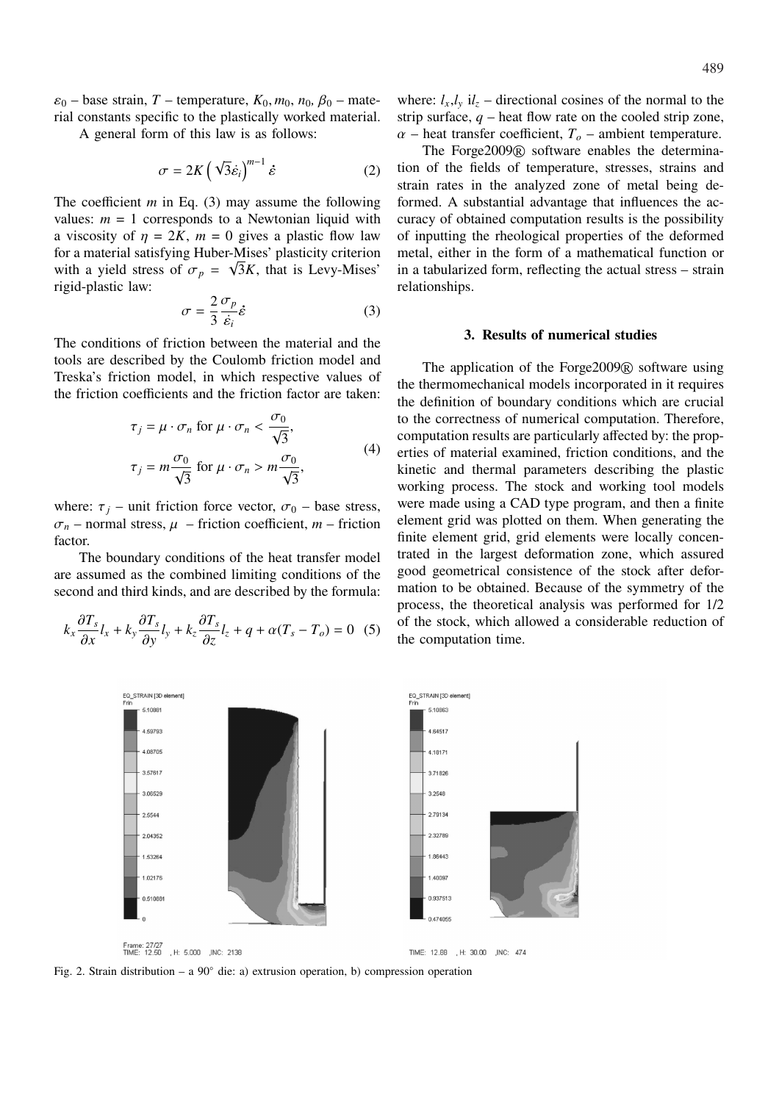$\varepsilon_0$  – base strain, *T* – temperature,  $K_0$ ,  $m_0$ ,  $n_0$ ,  $\beta_0$  – material constants specific to the plastically worked material.

A general form of this law is as follows:

$$
\sigma = 2K \left( \sqrt{3} \dot{\varepsilon}_i \right)^{m-1} \dot{\varepsilon} \tag{2}
$$

The coefficient *m* in Eq. (3) may assume the following values:  $m = 1$  corresponds to a Newtonian liquid with a viscosity of  $\eta = 2K$ ,  $m = 0$  gives a plastic flow law for a material satisfying Huber-Mises' plasticity criterion with a yield stress of  $\sigma_p = \sqrt{3}K$ , that is Levy-Mises' rigid-plastic law:

$$
\sigma = \frac{2}{3} \frac{\sigma_p}{\dot{\varepsilon}_i} \dot{\varepsilon}
$$
 (3)

The conditions of friction between the material and the tools are described by the Coulomb friction model and Treska's friction model, in which respective values of the friction coefficients and the friction factor are taken:

$$
\tau_j = \mu \cdot \sigma_n \text{ for } \mu \cdot \sigma_n < \frac{\sigma_0}{\sqrt{3}},
$$
\n
$$
\tau_j = m \frac{\sigma_0}{\sqrt{3}} \text{ for } \mu \cdot \sigma_n > m \frac{\sigma_0}{\sqrt{3}}, \tag{4}
$$

where:  $\tau_j$  – unit friction force vector,  $\sigma_0$  – base stress,  $\sigma_n$  – normal stress,  $\mu$  – friction coefficient,  $m$  – friction factor.

The boundary conditions of the heat transfer model are assumed as the combined limiting conditions of the second and third kinds, and are described by the formula:

$$
k_x \frac{\partial T_s}{\partial x} l_x + k_y \frac{\partial T_s}{\partial y} l_y + k_z \frac{\partial T_s}{\partial z} l_z + q + \alpha (T_s - T_o) = 0 \quad (5)
$$

where:  $l_x, l_y$  i $l_z$  – directional cosines of the normal to the strip surface,  $q$  – heat flow rate on the cooled strip zone,  $\alpha$  – heat transfer coefficient,  $T_o$  – ambient temperature.

The Forge2009 <sup>R</sup> software enables the determination of the fields of temperature, stresses, strains and strain rates in the analyzed zone of metal being deformed. A substantial advantage that influences the accuracy of obtained computation results is the possibility of inputting the rheological properties of the deformed metal, either in the form of a mathematical function or in a tabularized form, reflecting the actual stress – strain relationships.

## **3. Results of numerical studies**

The application of the Forge2009 <sup>R</sup> software using the thermomechanical models incorporated in it requires the definition of boundary conditions which are crucial to the correctness of numerical computation. Therefore, computation results are particularly affected by: the properties of material examined, friction conditions, and the kinetic and thermal parameters describing the plastic working process. The stock and working tool models were made using a CAD type program, and then a finite element grid was plotted on them. When generating the finite element grid, grid elements were locally concentrated in the largest deformation zone, which assured good geometrical consistence of the stock after deformation to be obtained. Because of the symmetry of the process, the theoretical analysis was performed for 1/2 of the stock, which allowed a considerable reduction of the computation time.



Frame: 27/27<br>TIME: 12.50 H: 5.000 , INC: 2138

EQ STRAIN (3D element)

5.1088

TIME: 12.88 , H: 30.00 , INC: 474

EQ STRAIN [3D element]

5.10863

Fig. 2. Strain distribution – a  $90^\circ$  die: a) extrusion operation, b) compression operation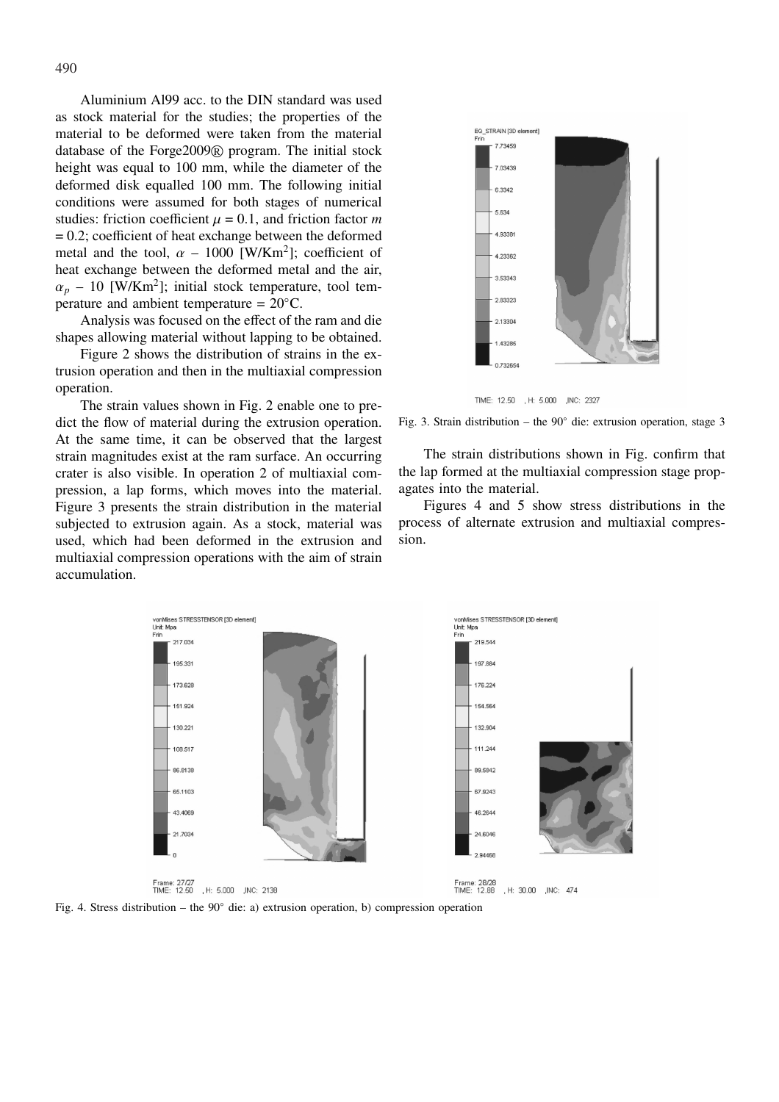Aluminium Al99 acc. to the DIN standard was used as stock material for the studies; the properties of the material to be deformed were taken from the material database of the Forge2009 <sup>R</sup> program. The initial stock height was equal to 100 mm, while the diameter of the deformed disk equalled 100 mm. The following initial conditions were assumed for both stages of numerical studies: friction coefficient  $\mu = 0.1$ , and friction factor *m*  $= 0.2$ ; coefficient of heat exchange between the deformed metal and the tool,  $\alpha - 1000$  [W/Km<sup>2</sup>]; coefficient of heat exchange between the deformed metal and the air,  $\alpha_p$  – 10 [W/Km<sup>2</sup>]; initial stock temperature, tool temperature and ambient temperature =  $20^{\circ}$ C.

Analysis was focused on the effect of the ram and die shapes allowing material without lapping to be obtained.

Figure 2 shows the distribution of strains in the extrusion operation and then in the multiaxial compression operation.

The strain values shown in Fig. 2 enable one to predict the flow of material during the extrusion operation. At the same time, it can be observed that the largest strain magnitudes exist at the ram surface. An occurring crater is also visible. In operation 2 of multiaxial compression, a lap forms, which moves into the material. Figure 3 presents the strain distribution in the material subjected to extrusion again. As a stock, material was used, which had been deformed in the extrusion and multiaxial compression operations with the aim of strain accumulation.



TIME: 12.50 , H: 5.000 , INC: 2327

Fig. 3. Strain distribution – the 90◦ die: extrusion operation, stage 3

The strain distributions shown in Fig. confirm that the lap formed at the multiaxial compression stage propagates into the material.

Figures 4 and 5 show stress distributions in the process of alternate extrusion and multiaxial compression.



Fig. 4. Stress distribution – the 90◦ die: a) extrusion operation, b) compression operation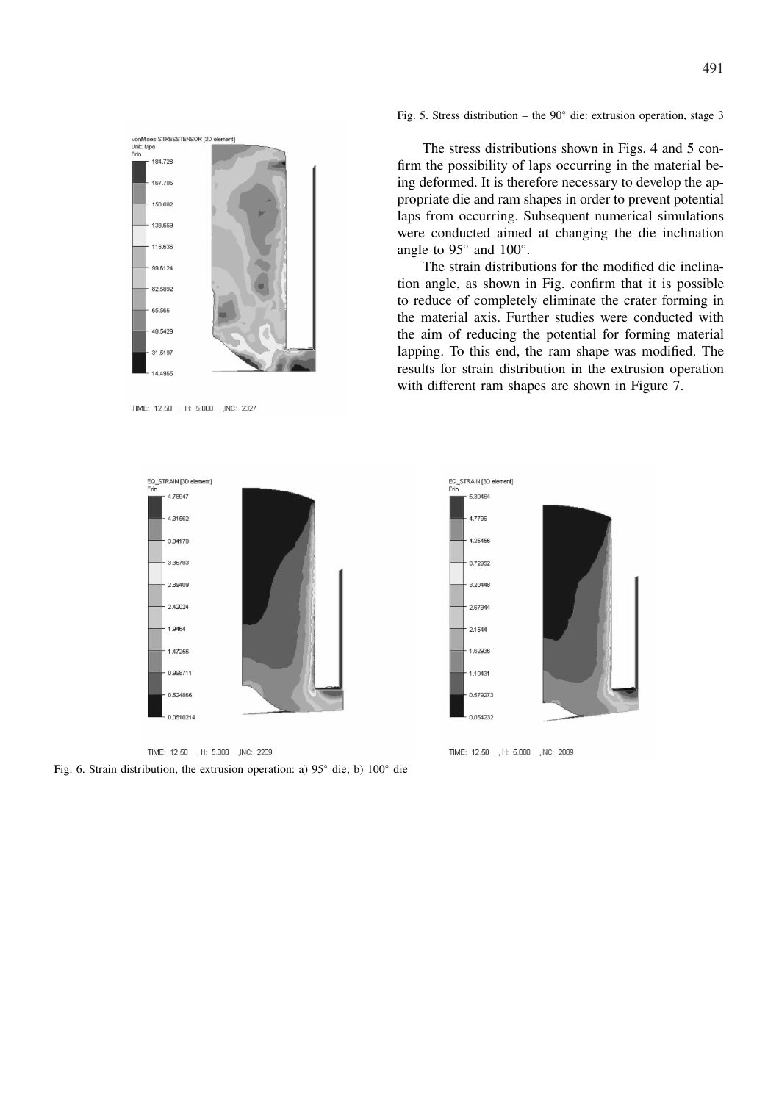

TIME: 12.50 , H: 5.000 , INC: 2327

Fig. 5. Stress distribution – the  $90^\circ$  die: extrusion operation, stage 3

The stress distributions shown in Figs. 4 and 5 confirm the possibility of laps occurring in the material being deformed. It is therefore necessary to develop the appropriate die and ram shapes in order to prevent potential laps from occurring. Subsequent numerical simulations were conducted aimed at changing the die inclination angle to  $95^\circ$  and  $100^\circ$ .

The strain distributions for the modified die inclination angle, as shown in Fig. confirm that it is possible to reduce of completely eliminate the crater forming in the material axis. Further studies were conducted with the aim of reducing the potential for forming material lapping. To this end, the ram shape was modified. The results for strain distribution in the extrusion operation with different ram shapes are shown in Figure 7.



TIME: 12.50 H: 5.000 , INC: 2209

Fig. 6. Strain distribution, the extrusion operation: a) 95◦ die; b) 100◦ die



TIME: 12.50 H: 5.000 , INC: 2089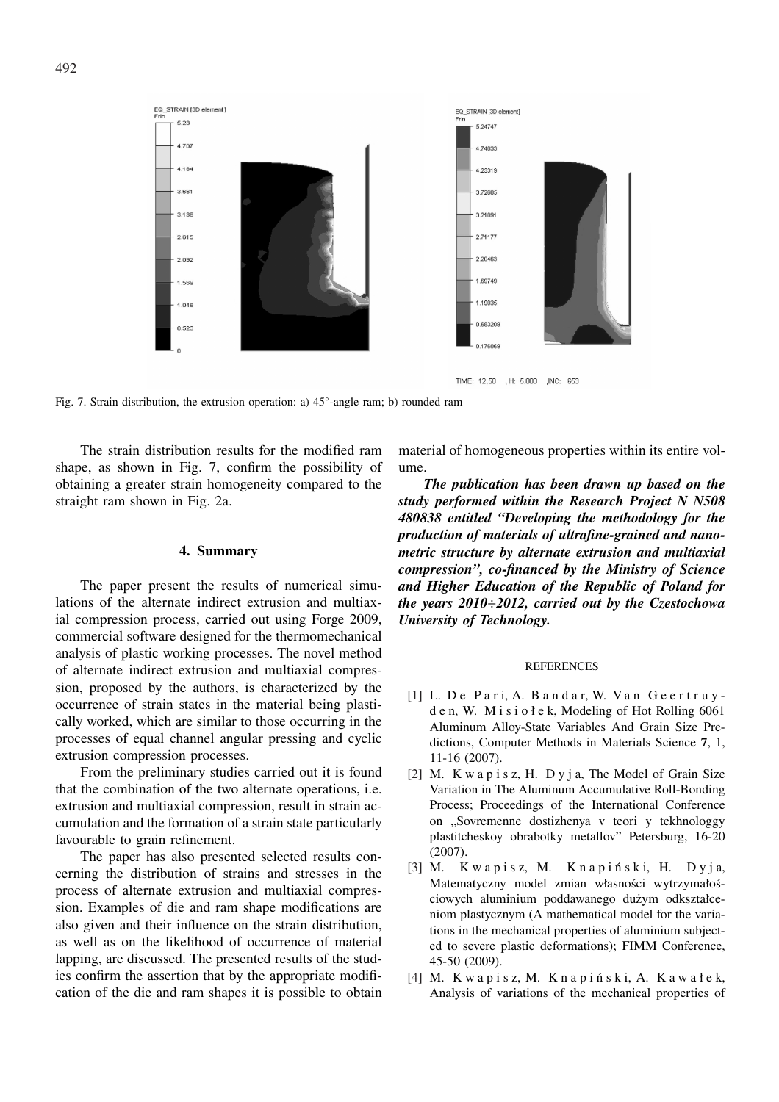



TIME: 12.50 , H: 5.000 , INC: 653

Fig. 7. Strain distribution, the extrusion operation: a) 45◦ -angle ram; b) rounded ram

The strain distribution results for the modified ram shape, as shown in Fig. 7, confirm the possibility of obtaining a greater strain homogeneity compared to the straight ram shown in Fig. 2a.

# **4. Summary**

The paper present the results of numerical simulations of the alternate indirect extrusion and multiaxial compression process, carried out using Forge 2009, commercial software designed for the thermomechanical analysis of plastic working processes. The novel method of alternate indirect extrusion and multiaxial compression, proposed by the authors, is characterized by the occurrence of strain states in the material being plastically worked, which are similar to those occurring in the processes of equal channel angular pressing and cyclic extrusion compression processes.

From the preliminary studies carried out it is found that the combination of the two alternate operations, i.e. extrusion and multiaxial compression, result in strain accumulation and the formation of a strain state particularly favourable to grain refinement.

The paper has also presented selected results concerning the distribution of strains and stresses in the process of alternate extrusion and multiaxial compression. Examples of die and ram shape modifications are also given and their influence on the strain distribution, as well as on the likelihood of occurrence of material lapping, are discussed. The presented results of the studies confirm the assertion that by the appropriate modification of the die and ram shapes it is possible to obtain material of homogeneous properties within its entire volume.

*The publication has been drawn up based on the study performed within the Research Project N N508 480838 entitled "Developing the methodology for the production of materials of ultrafine-grained and nanometric structure by alternate extrusion and multiaxial compression", co-financed by the Ministry of Science and Higher Education of the Republic of Poland for the years 2010*÷*2012, carried out by the Czestochowa University of Technology.*

## **REFERENCES**

- [1] L. De Pari, A. Bandar, W. Van Geertruyd e n, W. M i s i o ł e k, Modeling of Hot Rolling 6061 Aluminum Alloy-State Variables And Grain Size Predictions, Computer Methods in Materials Science **7**, 1, 11-16 (2007).
- [2] M. K w a p i s z, H. D y j a, The Model of Grain Size Variation in The Aluminum Accumulative Roll-Bonding Process; Proceedings of the International Conference on "Sovremenne dostizhenya v teori y tekhnologgy plastitcheskoy obrabotky metallov" Petersburg, 16-20 (2007).
- [3] M. Kwapisz, M. Knapiński, H. Dyja, Matematyczny model zmian własności wytrzymałościowych aluminium poddawanego dużym odkształceniom plastycznym (A mathematical model for the variations in the mechanical properties of aluminium subjected to severe plastic deformations); FIMM Conference, 45-50 (2009).
- $[4]$  M. Kwapisz, M. Knapiński, A. Kawałek, Analysis of variations of the mechanical properties of